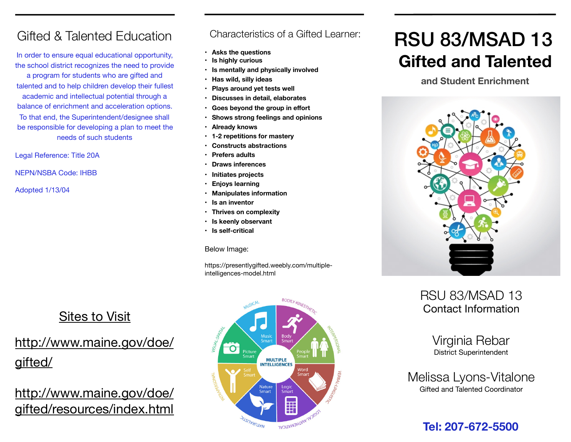### Gifted & Talented Education

In order to ensure equal educational opportunity, the school district recognizes the need to provide a program for students who are gifted and talented and to help children develop their fullest academic and intellectual potential through a balance of enrichment and acceleration options. To that end, the Superintendent/designee shall be responsible for developing a plan to meet the needs of such students

Legal Reference: Title 20A

NEPN/NSBA Code: IHBB

Adopted 1/13/04

### Sites to Visit

## [http://www.maine.gov/doe/](http://www.maine.gov/doe/gifted/) [gifted/](http://www.maine.gov/doe/gifted/)

[http://www.maine.gov/doe/](http://www.maine.gov/doe/gifted/resources/index.html) [gifted/resources/index.html](http://www.maine.gov/doe/gifted/resources/index.html)

### Characteristics of a Gifted Learner:

- **Asks the questions**
- **Is highly curious**
- **Is mentally and physically involved**
- **Has wild, silly ideas**
- **Plays around yet tests well**
- **Discusses in detail, elaborates**
- **Goes beyond the group in effort**
- **Shows strong feelings and opinions**
- **Already knows**
- **1-2 repetitions for mastery**
- **Constructs abstractions**
- **Prefers adults**
- **Draws inferences**
- **Initiates projects**
- **Enjoys learning**
- **Manipulates information**
- **Is an inventor**
- **Thrives on complexity**
- **Is keenly observant**
- **Is self-critical**

Below Image:

https://presentlygifted.weebly.com/multipleintelligences-model.html



# RSU 83/MSAD 13 **Gifted and Talented**

### **and Student Enrichment**



### RSU 83/MSAD 13 Contact Information

Virginia Rebar District Superintendent

Melissa Lyons-Vitalone Gifted and Talented Coordinator

### **Tel: 207-672-5500**